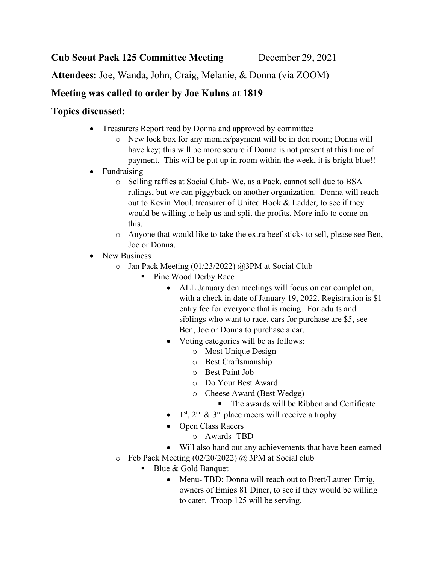Attendees: Joe, Wanda, John, Craig, Melanie, & Donna (via ZOOM)

## Meeting was called to order by Joe Kuhns at 1819

## Topics discussed:

- Treasurers Report read by Donna and approved by committee
	- o New lock box for any monies/payment will be in den room; Donna will have key; this will be more secure if Donna is not present at this time of payment. This will be put up in room within the week, it is bright blue!!
- Fundraising
	- o Selling raffles at Social Club- We, as a Pack, cannot sell due to BSA rulings, but we can piggyback on another organization. Donna will reach out to Kevin Moul, treasurer of United Hook & Ladder, to see if they would be willing to help us and split the profits. More info to come on this.
	- o Anyone that would like to take the extra beef sticks to sell, please see Ben, Joe or Donna.
- New Business
	- o Jan Pack Meeting (01/23/2022) @3PM at Social Club
		- Pine Wood Derby Race
			- ALL January den meetings will focus on car completion, with a check in date of January 19, 2022. Registration is \$1 entry fee for everyone that is racing. For adults and siblings who want to race, cars for purchase are \$5, see Ben, Joe or Donna to purchase a car.
			- Voting categories will be as follows:
				- o Most Unique Design
				- o Best Craftsmanship
				- o Best Paint Job
				- o Do Your Best Award
				- o Cheese Award (Best Wedge)
					- The awards will be Ribbon and Certificate
			- $1<sup>st</sup>$ ,  $2<sup>nd</sup>$  &  $3<sup>rd</sup>$  place racers will receive a trophy
			- Open Class Racers
				- o Awards- TBD
			- Will also hand out any achievements that have been earned
	- o Feb Pack Meeting (02/20/2022) @ 3PM at Social club
		- Blue & Gold Banquet
			- Menu- TBD: Donna will reach out to Brett/Lauren Emig, owners of Emigs 81 Diner, to see if they would be willing to cater. Troop 125 will be serving.